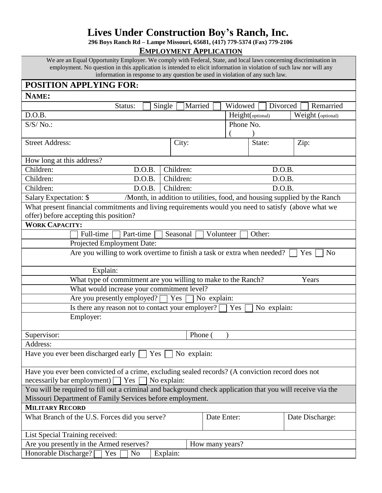# **Lives Under Construction Boy's Ranch, Inc.**

**296 Boys Ranch Rd – Lampe Missouri, 65681, (417) 779-5374 (Fax) 779-2106**

**EMPLOYMENT APPLICATION**

We are an Equal Opportunity Employer. We comply with Federal, State, and local laws concerning discrimination in employment. No question in this application is intended to elicit information in violation of such law nor will any information in response to any question be used in violation of any such law.

| POSITION APPLYING FOR:                                                                                     |                    |             |                   |  |
|------------------------------------------------------------------------------------------------------------|--------------------|-------------|-------------------|--|
| NAME:                                                                                                      |                    |             |                   |  |
| Status:<br>Single                                                                                          | Married<br>Widowed | Divorced    | Remarried         |  |
| D.O.B.                                                                                                     | Height(optional)   |             | Weight (optional) |  |
| $S/S/No$ .:<br>Phone No.                                                                                   |                    |             |                   |  |
|                                                                                                            |                    |             |                   |  |
| <b>Street Address:</b><br>City:                                                                            |                    | State:      | Zip:              |  |
| How long at this address?                                                                                  |                    |             |                   |  |
| Children:<br>Children:<br>D.O.B.                                                                           |                    | D.O.B.      |                   |  |
| Children:<br>Children:<br>D.O.B.                                                                           | D.O.B.             |             |                   |  |
| Children:<br>Children:<br>D.O.B.                                                                           | D.O.B.             |             |                   |  |
| /Month, in addition to utilities, food, and housing supplied by the Ranch<br>Salary Expectation: \$        |                    |             |                   |  |
| What present financial commitments and living requirements would you need to satisfy (above what we        |                    |             |                   |  |
| offer) before accepting this position?                                                                     |                    |             |                   |  |
| <b>WORK CAPACITY:</b>                                                                                      |                    |             |                   |  |
| Full-time<br>Part-time<br>Seasonal                                                                         | Volunteer          | Other:      |                   |  |
| Projected Employment Date:                                                                                 |                    |             |                   |  |
| Are you willing to work overtime to finish a task or extra when needed?<br>N <sub>o</sub><br>Yes           |                    |             |                   |  |
| Explain:                                                                                                   |                    |             |                   |  |
| What type of commitment are you willing to make to the Ranch?<br>Years                                     |                    |             |                   |  |
| What would increase your commitment level?                                                                 |                    |             |                   |  |
| Are you presently employed? $\Box$ Yes                                                                     | No explain:        |             |                   |  |
| Is there any reason not to contact your employer? [                                                        | Yes                | No explain: |                   |  |
| Employer:                                                                                                  |                    |             |                   |  |
| Supervisor:                                                                                                | Phone (            |             |                   |  |
| Address:                                                                                                   |                    |             |                   |  |
| Have you ever been discharged early $\Box$<br>Yes<br>No explain:                                           |                    |             |                   |  |
| Have you ever been convicted of a crime, excluding sealed records? (A conviction record does not           |                    |             |                   |  |
| necessarily bar employment) [<br>Yes<br>No explain:                                                        |                    |             |                   |  |
| You will be required to fill out a criminal and background check application that you will receive via the |                    |             |                   |  |
| Missouri Department of Family Services before employment.                                                  |                    |             |                   |  |
| <b>MILITARY RECORD</b>                                                                                     |                    |             |                   |  |
| What Branch of the U.S. Forces did you serve?                                                              | Date Enter:        |             | Date Discharge:   |  |
| List Special Training received:                                                                            |                    |             |                   |  |
| Are you presently in the Armed reserves?<br>How many years?                                                |                    |             |                   |  |
| Honorable Discharge? [<br>Yes<br>Explain:<br>No                                                            |                    |             |                   |  |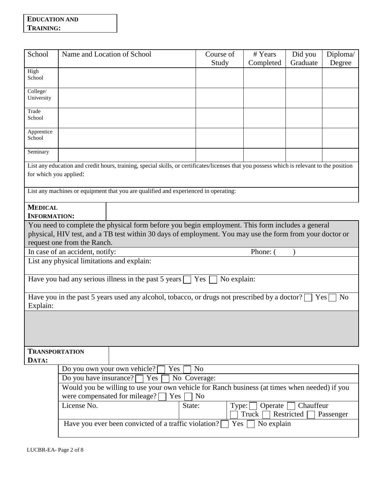### **EDUCATION AND TRAINING:**

| School                                                                                                                                                               | Name and Location of School                                                                                                                                                                                  |  | Course of<br>Study | # Years<br>Completed | Did you<br>Graduate | Diploma/<br>Degree |
|----------------------------------------------------------------------------------------------------------------------------------------------------------------------|--------------------------------------------------------------------------------------------------------------------------------------------------------------------------------------------------------------|--|--------------------|----------------------|---------------------|--------------------|
| High<br>School                                                                                                                                                       |                                                                                                                                                                                                              |  |                    |                      |                     |                    |
| College/<br>University                                                                                                                                               |                                                                                                                                                                                                              |  |                    |                      |                     |                    |
| Trade<br>School                                                                                                                                                      |                                                                                                                                                                                                              |  |                    |                      |                     |                    |
| Apprentice<br>School                                                                                                                                                 |                                                                                                                                                                                                              |  |                    |                      |                     |                    |
| Seminary                                                                                                                                                             |                                                                                                                                                                                                              |  |                    |                      |                     |                    |
| List any education and credit hours, training, special skills, or certificates/licenses that you possess which is relevant to the position<br>for which you applied: |                                                                                                                                                                                                              |  |                    |                      |                     |                    |
|                                                                                                                                                                      | List any machines or equipment that you are qualified and experienced in operating:                                                                                                                          |  |                    |                      |                     |                    |
| <b>MEDICAL</b>                                                                                                                                                       |                                                                                                                                                                                                              |  |                    |                      |                     |                    |
| <b>INFORMATION:</b>                                                                                                                                                  |                                                                                                                                                                                                              |  |                    |                      |                     |                    |
|                                                                                                                                                                      | You need to complete the physical form before you begin employment. This form includes a general<br>physical, HIV test, and a TB test within 30 days of employment. You may use the form from your doctor or |  |                    |                      |                     |                    |
|                                                                                                                                                                      | request one from the Ranch.                                                                                                                                                                                  |  |                    |                      |                     |                    |
|                                                                                                                                                                      | In case of an accident, notify:                                                                                                                                                                              |  |                    | Phone:               |                     |                    |
| List any physical limitations and explain:                                                                                                                           |                                                                                                                                                                                                              |  |                    |                      |                     |                    |
| Have you had any serious illness in the past 5 years<br>No explain:<br>Yes                                                                                           |                                                                                                                                                                                                              |  |                    |                      |                     |                    |
| Have you in the past 5 years used any alcohol, tobacco, or drugs not prescribed by a doctor?<br>N <sub>o</sub><br>Yes<br>Explain:                                    |                                                                                                                                                                                                              |  |                    |                      |                     |                    |
|                                                                                                                                                                      |                                                                                                                                                                                                              |  |                    |                      |                     |                    |
| <b>TRANSPORTATION</b>                                                                                                                                                |                                                                                                                                                                                                              |  |                    |                      |                     |                    |
| DATA:                                                                                                                                                                |                                                                                                                                                                                                              |  |                    |                      |                     |                    |
|                                                                                                                                                                      | Do you own your own vehicle?<br>N <sub>o</sub><br>Yes                                                                                                                                                        |  |                    |                      |                     |                    |
|                                                                                                                                                                      | Do you have insurance?<br>No Coverage:<br>Yes                                                                                                                                                                |  |                    |                      |                     |                    |
|                                                                                                                                                                      | Would you be willing to use your own vehicle for Ranch business (at times when needed) if you<br>were compensated for mileage? [<br>Yes<br>N <sub>o</sub>                                                    |  |                    |                      |                     |                    |
|                                                                                                                                                                      | License No.<br>Chauffeur<br>State:<br>Operate<br>Type:                                                                                                                                                       |  |                    |                      |                     |                    |
|                                                                                                                                                                      |                                                                                                                                                                                                              |  |                    | Truck                | Restricted          | Passenger          |
|                                                                                                                                                                      | Have you ever been convicted of a traffic violation?<br>No explain<br>Yes                                                                                                                                    |  |                    |                      |                     |                    |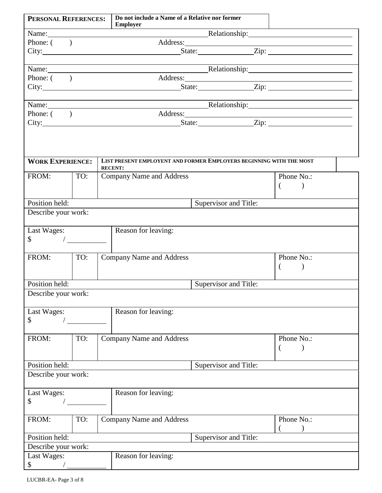| PERSONAL REFERENCES:                    |                                                                              | Do not include a Name of a Relative nor former<br><b>Employer</b>                                                                                                                                                             |                           |
|-----------------------------------------|------------------------------------------------------------------------------|-------------------------------------------------------------------------------------------------------------------------------------------------------------------------------------------------------------------------------|---------------------------|
|                                         |                                                                              | Relationship: Relationship:<br>Name:                                                                                                                                                                                          |                           |
| Phone: $($                              |                                                                              |                                                                                                                                                                                                                               |                           |
|                                         |                                                                              | Address:<br>State: Zip: Zip:                                                                                                                                                                                                  |                           |
|                                         |                                                                              | the control of the control of the control of the control of the control of the control of the control of the control of the control of the control of the control of the control of the control of the control of the control |                           |
|                                         |                                                                              | Name: Relationship: Relationship:                                                                                                                                                                                             |                           |
| Phone: $($                              |                                                                              |                                                                                                                                                                                                                               |                           |
|                                         |                                                                              |                                                                                                                                                                                                                               |                           |
|                                         |                                                                              |                                                                                                                                                                                                                               |                           |
| Phone: $($ )                            |                                                                              | Name: Relationship: Relationship:                                                                                                                                                                                             |                           |
|                                         |                                                                              |                                                                                                                                                                                                                               |                           |
|                                         |                                                                              |                                                                                                                                                                                                                               |                           |
|                                         |                                                                              |                                                                                                                                                                                                                               |                           |
|                                         |                                                                              |                                                                                                                                                                                                                               |                           |
| <b>WORK EXPERIENCE:</b>                 |                                                                              | LIST PRESENT EMPLOYENT AND FORMER EMPLOYERS BEGINNING WITH THE MOST                                                                                                                                                           |                           |
|                                         |                                                                              | <b>RECENT:</b>                                                                                                                                                                                                                |                           |
| FROM:                                   | TO:                                                                          | <b>Company Name and Address</b>                                                                                                                                                                                               | Phone No.:                |
|                                         |                                                                              |                                                                                                                                                                                                                               | $\left($<br>$\lambda$     |
| Position held:                          |                                                                              | Supervisor and Title:                                                                                                                                                                                                         |                           |
| Describe your work:                     |                                                                              |                                                                                                                                                                                                                               |                           |
|                                         |                                                                              |                                                                                                                                                                                                                               |                           |
| Last Wages:                             |                                                                              | Reason for leaving:                                                                                                                                                                                                           |                           |
| $\mathbb{S}^-$                          | $\frac{1}{\sqrt{1-\frac{1}{2}}}\left( \frac{1}{\sqrt{1-\frac{1}{2}}}\right)$ |                                                                                                                                                                                                                               |                           |
|                                         |                                                                              |                                                                                                                                                                                                                               |                           |
| FROM:                                   | TO:                                                                          | <b>Company Name and Address</b>                                                                                                                                                                                               | Phone No.:                |
|                                         |                                                                              |                                                                                                                                                                                                                               | $\left($<br>$\mathcal{E}$ |
|                                         |                                                                              |                                                                                                                                                                                                                               |                           |
| Position held:<br>Supervisor and Title: |                                                                              |                                                                                                                                                                                                                               |                           |
| Describe your work:                     |                                                                              |                                                                                                                                                                                                                               |                           |
| Last Wages:                             |                                                                              | Reason for leaving:                                                                                                                                                                                                           |                           |
| \$                                      |                                                                              |                                                                                                                                                                                                                               |                           |
|                                         |                                                                              |                                                                                                                                                                                                                               |                           |
| FROM:                                   | TO:                                                                          | <b>Company Name and Address</b>                                                                                                                                                                                               | Phone No.:                |
|                                         |                                                                              |                                                                                                                                                                                                                               |                           |
|                                         |                                                                              |                                                                                                                                                                                                                               |                           |
| Position held:                          |                                                                              | Supervisor and Title:                                                                                                                                                                                                         |                           |
| Describe your work:                     |                                                                              |                                                                                                                                                                                                                               |                           |
|                                         |                                                                              | Reason for leaving:                                                                                                                                                                                                           |                           |
| Last Wages:<br>\$                       |                                                                              |                                                                                                                                                                                                                               |                           |
|                                         |                                                                              |                                                                                                                                                                                                                               |                           |
| FROM:                                   | TO:                                                                          | <b>Company Name and Address</b>                                                                                                                                                                                               | Phone No.:                |
|                                         |                                                                              |                                                                                                                                                                                                                               |                           |
| Position held:<br>Supervisor and Title: |                                                                              |                                                                                                                                                                                                                               |                           |
| Describe your work:                     |                                                                              |                                                                                                                                                                                                                               |                           |
| Last Wages:                             |                                                                              | Reason for leaving:                                                                                                                                                                                                           |                           |
| \$                                      |                                                                              |                                                                                                                                                                                                                               |                           |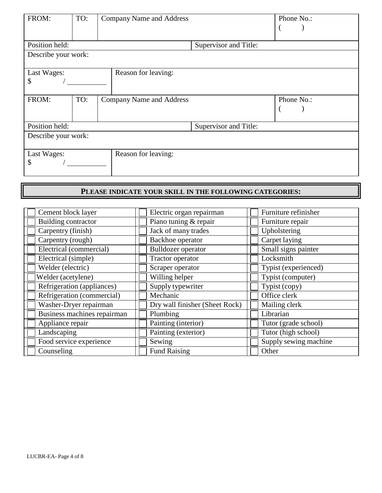| FROM:                                    | TO:                   | <b>Company Name and Address</b> |                       | Phone No.: |
|------------------------------------------|-----------------------|---------------------------------|-----------------------|------------|
| Position held:                           | Supervisor and Title: |                                 |                       |            |
| Describe your work:                      |                       |                                 |                       |            |
| Reason for leaving:<br>Last Wages:<br>\$ |                       |                                 |                       |            |
| FROM:                                    | TO:                   | <b>Company Name and Address</b> |                       | Phone No.: |
| Position held:                           |                       |                                 | Supervisor and Title: |            |
| Describe your work:                      |                       |                                 |                       |            |
| Last Wages:<br>\$                        |                       | Reason for leaving:             |                       |            |

## **PLEASE INDICATE YOUR SKILL IN THE FOLLOWING CATEGORIES:**

| Cement block layer          | Electric organ repairman       | Furniture refinisher  |
|-----------------------------|--------------------------------|-----------------------|
| <b>Building contractor</b>  | Piano tuning & repair          | Furniture repair      |
| Carpentry (finish)          | Jack of many trades            | Upholstering          |
| Carpentry (rough)           | Backhoe operator               | Carpet laying         |
| Electrical (commercial)     | Bulldozer operator             | Small signs painter   |
| Electrical (simple)         | Tractor operator               | Locksmith             |
| Welder (electric)           | Scraper operator               | Typist (experienced)  |
| Welder (acetylene)          | Willing helper                 | Typist (computer)     |
| Refrigeration (appliances)  | Supply typewriter              | Typist (copy)         |
| Refrigeration (commercial)  | Mechanic                       | Office clerk          |
| Washer-Dryer repairman      | Dry wall finisher (Sheet Rock) | Mailing clerk         |
| Business machines repairman | Plumbing                       | Librarian             |
| Appliance repair            | Painting (interior)            | Tutor (grade school)  |
| Landscaping                 | Painting (exterior)            | Tutor (high school)   |
| Food service experience     | Sewing                         | Supply sewing machine |
| Counseling                  | <b>Fund Raising</b>            | Other                 |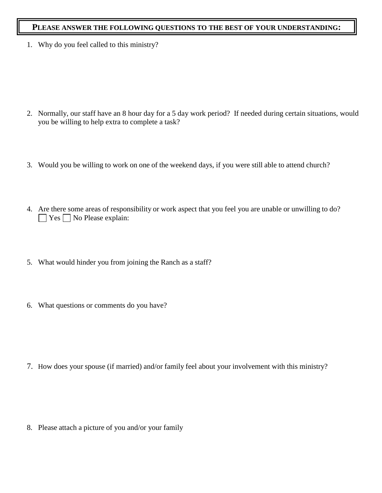#### **PLEASE ANSWER THE FOLLOWING QUESTIONS TO THE BEST OF YOUR UNDERSTANDING:**

1. Why do you feel called to this ministry?

- 2. Normally, our staff have an 8 hour day for a 5 day work period? If needed during certain situations, would you be willing to help extra to complete a task?
- 3. Would you be willing to work on one of the weekend days, if you were still able to attend church?
- 4. Are there some areas of responsibility or work aspect that you feel you are unable or unwilling to do?  $\Box$  Yes  $\Box$  No Please explain:
- 5. What would hinder you from joining the Ranch as a staff?
- 6. What questions or comments do you have?

7. How does your spouse (if married) and/or family feel about your involvement with this ministry?

8. Please attach a picture of you and/or your family